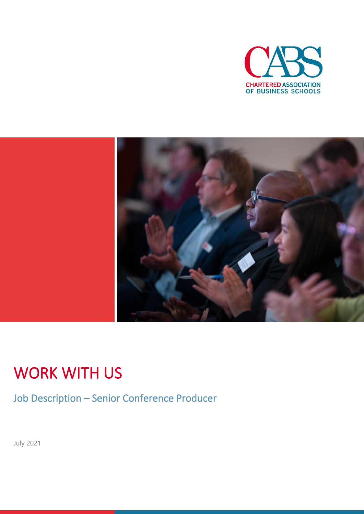



# WORK WITH US

Job Description – Senior Conference Producer

July 2021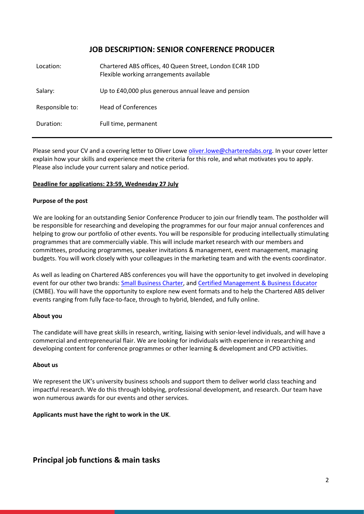# **JOB DESCRIPTION: SENIOR CONFERENCE PRODUCER**

| Location:       | Chartered ABS offices, 40 Queen Street, London EC4R 1DD<br>Flexible working arrangements available |
|-----------------|----------------------------------------------------------------------------------------------------|
| Salary:         | Up to £40,000 plus generous annual leave and pension                                               |
| Responsible to: | <b>Head of Conferences</b>                                                                         |
| Duration:       | Full time, permanent                                                                               |

Please send your CV and a covering letter to Oliver Low[e oliver.lowe@charteredabs.org.](mailto:oliver.lowe@charteredabs.org) In your cover letter explain how your skills and experience meet the criteria for this role, and what motivates you to apply. Please also include your current salary and notice period.

#### **Deadline for applications: 23:59, Wednesday 27 July**

#### **Purpose of the post**

We are looking for an outstanding Senior Conference Producer to join our friendly team. The postholder will be responsible for researching and developing the programmes for our four major annual conferences and helping to grow our portfolio of other events. You will be responsible for producing intellectually stimulating programmes that are commercially viable. This will include market research with our members and committees, producing programmes, speaker invitations & management, event management, managing budgets. You will work closely with your colleagues in the marketing team and with the events coordinator.

As well as leading on Chartered ABS conferences you will have the opportunity to get involved in developing event for our other two brands: [Small Business Charter,](https://smallbusinesscharter.org/events/for-business-schools/) and [Certified Management & Business Educator](https://charteredabs.org/cmbe-events/) (CMBE). You will have the opportunity to explore new event formats and to help the Chartered ABS deliver events ranging from fully face-to-face, through to hybrid, blended, and fully online.

#### **About you**

The candidate will have great skills in research, writing, liaising with senior-level individuals, and will have a commercial and entrepreneurial flair. We are looking for individuals with experience in researching and developing content for conference programmes or other learning & development and CPD activities.

#### **About us**

We represent the UK's university business schools and support them to deliver world class teaching and impactful research. We do this through lobbying, professional development, and research. Our team have won numerous awards for our events and other services.

## **Applicants must have the right to work in the UK**.

**Principal job functions & main tasks**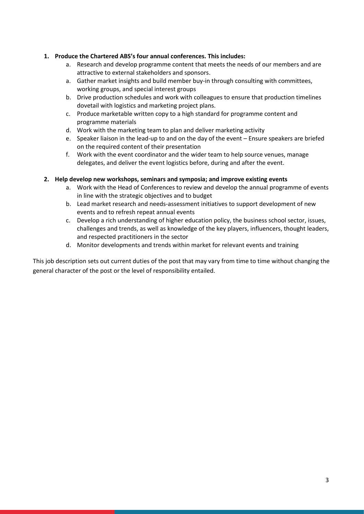# **1. Produce the Chartered ABS's four annual conferences. This includes:**

- a. Research and develop programme content that meets the needs of our members and are attractive to external stakeholders and sponsors.
- a. Gather market insights and build member buy-in through consulting with committees, working groups, and special interest groups
- b. Drive production schedules and work with colleagues to ensure that production timelines dovetail with logistics and marketing project plans.
- c. Produce marketable written copy to a high standard for programme content and programme materials
- d. Work with the marketing team to plan and deliver marketing activity
- e. Speaker liaison in the lead-up to and on the day of the event Ensure speakers are briefed on the required content of their presentation
- f. Work with the event coordinator and the wider team to help source venues, manage delegates, and deliver the event logistics before, during and after the event.

## **2. Help develop new workshops, seminars and symposia; and improve existing events**

- a. Work with the Head of Conferences to review and develop the annual programme of events in line with the strategic objectives and to budget
- b. Lead market research and needs-assessment initiatives to support development of new events and to refresh repeat annual events
- c. Develop a rich understanding of higher education policy, the business school sector, issues, challenges and trends, as well as knowledge of the key players, influencers, thought leaders, and respected practitioners in the sector
- d. Monitor developments and trends within market for relevant events and training

This job description sets out current duties of the post that may vary from time to time without changing the general character of the post or the level of responsibility entailed.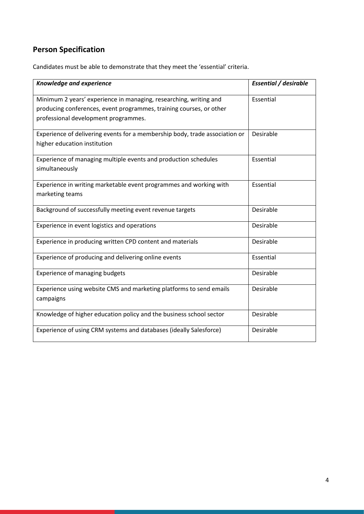# **Person Specification**

Candidates must be able to demonstrate that they meet the 'essential' criteria.

| <b>Knowledge and experience</b>                                             | <b>Essential / desirable</b> |
|-----------------------------------------------------------------------------|------------------------------|
| Minimum 2 years' experience in managing, researching, writing and           | Essential                    |
| producing conferences, event programmes, training courses, or other         |                              |
| professional development programmes.                                        |                              |
| Experience of delivering events for a membership body, trade association or | <b>Desirable</b>             |
| higher education institution                                                |                              |
| Experience of managing multiple events and production schedules             | Essential                    |
| simultaneously                                                              |                              |
| Experience in writing marketable event programmes and working with          | Essential                    |
| marketing teams                                                             |                              |
| Background of successfully meeting event revenue targets                    | Desirable                    |
| Experience in event logistics and operations                                | Desirable                    |
| Experience in producing written CPD content and materials                   | Desirable                    |
| Experience of producing and delivering online events                        | Essential                    |
| <b>Experience of managing budgets</b>                                       | <b>Desirable</b>             |
| Experience using website CMS and marketing platforms to send emails         | Desirable                    |
| campaigns                                                                   |                              |
| Knowledge of higher education policy and the business school sector         | Desirable                    |
| Experience of using CRM systems and databases (ideally Salesforce)          | Desirable                    |